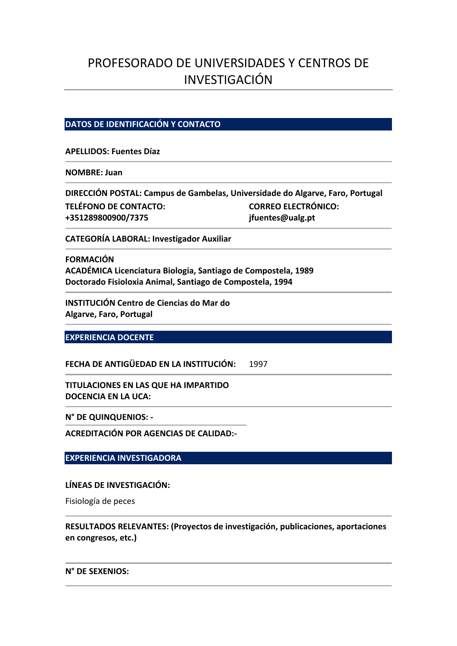# PROFESORADO DE UNIVERSIDADES Y CENTROS DE INVESTIGACIÓN

## **DATOS DE IDENTIFICACIÓN Y CONTACTO**

**APELLIDOS: Fuentes Díaz**

**NOMBRE: Juan**

**DIRECCIÓN POSTAL: Campus de Gambelas, Universidade do Algarve, Faro, Portugal TELÉFONO DE CONTACTO: +351289800900/7375 CORREO ELECTRÓNICO: jfuentes@ualg.pt**

**CATEGORÍA LABORAL: Investigador Auxiliar**

**FORMACIÓN ACADÉMICA Licenciatura Biologia, Santiago de Compostela, 1989 Doctorado Fisioloxia Animal, Santiago de Compostela, 1994**

**INSTITUCIÓN Centro de Ciencias do Mar do Algarve, Faro, Portugal**

**EXPERIENCIA DOCENTE**

**FECHA DE ANTIGÜEDAD EN LA INSTITUCIÓN:** 1997

**TITULACIONES EN LAS QUE HA IMPARTIDO DOCENCIA EN LA UCA:**

**N° DE QUINQUENIOS: ‐** 

**ACREDITACIÓN POR AGENCIAS DE CALIDAD:‐** 

**EXPERIENCIA INVESTIGADORA**

## **LÍNEAS DE INVESTIGACIÓN:**

Fisiología de peces

## **RESULTADOS RELEVANTES: (Proyectos de investigación, publicaciones, aportaciones en congresos, etc.)**

**N° DE SEXENIOS:**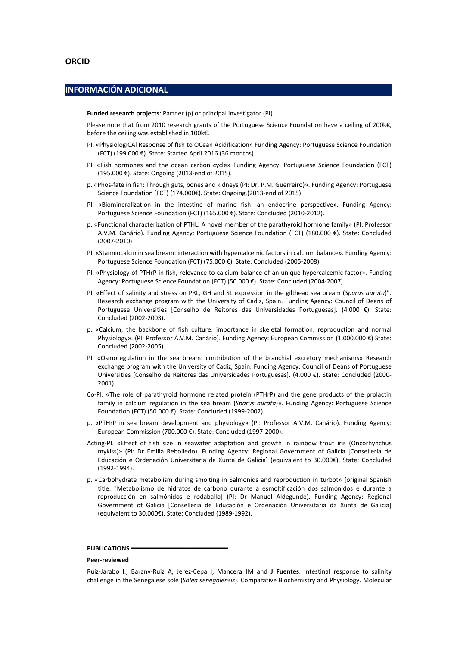## **INFORMACIÓN ADICIONAL**

**Funded research projects**: Partner (p) or principal investigator (PI)

Please note that from 2010 research grants of the Portuguese Science Foundation have a ceiling of 200k€. before the ceiling was established in 100k€.

- PI. «PhysiologiCAl Response of fIsh to OCean Acidification» Funding Agency: Portuguese Science Foundation (FCT) (199.000 €). State: Started April 2016 (36 months).
- PI. «Fish hormones and the ocean carbon cycle» Funding Agency: Portuguese Science Foundation (FCT) (195.000 €). State: Ongoing (2013‐end of 2015).
- p. «Phos‐fate in fish: Through guts, bones and kidneys (PI: Dr. P.M. Guerreiro)». Funding Agency: Portuguese Science Foundation (FCT) (174.000€). State: Ongoing.(2013-end of 2015).
- PI. «Biomineralization in the intestine of marine fish: an endocrine perspective». Funding Agency: Portuguese Science Foundation (FCT) (165.000 €). State: Concluded (2010‐2012).
- p. «Functional characterization of PTHL: A novel member of the parathyroid hormone family» (PI: Professor A.V.M. Canário). Funding Agency: Portuguese Science Foundation (FCT) (180.000 €). State: Concluded (2007‐2010)
- PI. «Stanniocalcin in sea bream: interaction with hypercalcemic factors in calcium balance». Funding Agency: Portuguese Science Foundation (FCT) (75.000 €). State: Concluded (2005‐2008).
- PI. «Physiology of PTHrP in fish, relevance to calcium balance of an unique hypercalcemic factor». Funding Agency: Portuguese Science Foundation (FCT) (50.000 €). State: Concluded (2004‐2007).
- PI. «Effect of salinity and stress on PRL, GH and SL expression in the gilthead sea bream (*Sparus aurata*)". Research exchange program with the University of Cadiz, Spain. Funding Agency: Council of Deans of Portuguese Universities [Conselho de Reitores das Universidades Portuguesas]. (4.000 €). State: Concluded (2002‐2003).
- p. «Calcium, the backbone of fish culture: importance in skeletal formation, reproduction and normal Physiology». (PI: Professor A.V.M. Canário). Funding Agency: European Commission (1,000.000 €) State: Concluded (2002‐2005).
- PI. «Osmoregulation in the sea bream: contribution of the branchial excretory mechanisms» Research exchange program with the University of Cadiz, Spain. Funding Agency: Council of Deans of Portuguese Universities [Conselho de Reitores das Universidades Portuguesas]. (4.000 €). State: Concluded (2000‐ 2001).
- Co-PI. «The role of parathyroid hormone related protein (PTHrP) and the gene products of the prolactin family in calcium regulation in the sea bream (*Sparus aurata*)». Funding Agency: Portuguese Science Foundation (FCT) (50.000 €). State: Concluded (1999‐2002).
- p. «PTHrP in sea bream development and physiology» (PI: Professor A.V.M. Canário). Funding Agency: European Commission (700.000 €). State: Concluded (1997‐2000).
- Acting‐PI. «Effect of fish size in seawater adaptation and growth in rainbow trout iris (Oncorhynchus mykiss)» (PI: Dr Emilia Rebolledo). Funding Agency: Regional Government of Galicia [Consellería de Educación e Ordenación Universitaria da Xunta de Galicia] (equivalent to 30.000€). State: Concluded (1992‐1994).
- p. «Carbohydrate metabolism during smolting in Salmonids and reproduction in turbot» [original Spanish title: "Metabolismo de hidratos de carbono durante a esmoltificación dos salmónidos e durante a reproducción en salmónidos e rodaballo] (PI: Dr Manuel Aldegunde). Funding Agency: Regional Government of Galicia [Consellería de Educación e Ordenación Universitaria da Xunta de Galicia] (equivalent to 30.000€). State: Concluded (1989‐1992).

#### **PUBLICATIONS**

### **Peer‐reviewed**

Ruiz‐Jarabo I., Barany‐Ruiz A, Jerez‐Cepa I, Mancera JM and **J Fuentes**. Intestinal response to salinity challenge in the Senegalese sole (*Solea senegalensis*). Comparative Biochemistry and Physiology. Molecular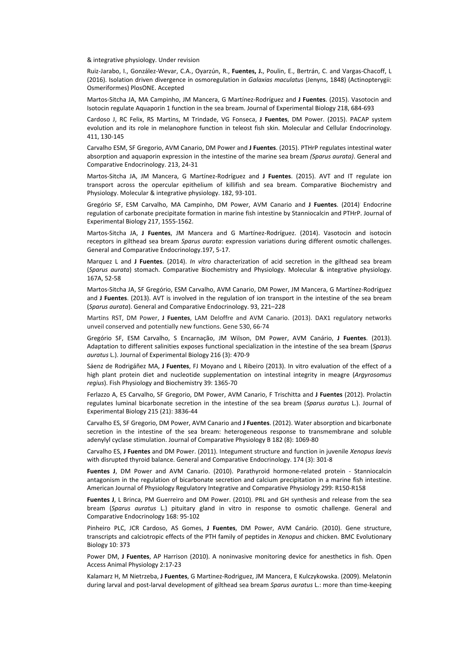& integrative physiology. Under revision

Ruiz‐Jarabo, I., González‐Wevar, C.A., Oyarzún, R., **Fuentes, J.**, Poulin, E., Bertrán, C. and Vargas‐Chacoff, L (2016). Isolation driven divergence in osmoregulation in *Galaxias maculatus* (Jenyns, 1848) (Actinopterygii: Osmeriformes) PlosONE. Accepted

Martos‐Sitcha JA, MA Campinho, JM Mancera, G Martínez‐Rodríguez and **J Fuentes**. (2015). Vasotocin and Isotocin regulate Aquaporin 1 function in the sea bream. Journal of Experimental Biology 218, 684‐693

Cardoso J, RC Felix, RS Martins, M Trindade, VG Fonseca, **J Fuentes**, DM Power. (2015). PACAP system evolution and its role in melanophore function in teleost fish skin. Molecular and Cellular Endocrinology. 411, 130‐145

Carvalho ESM, SF Gregorio, AVM Canario, DM Power and **J Fuentes**. (2015). PTHrP regulates intestinal water absorption and aquaporin expression in the intestine of the marine sea bream *(Sparus aurata)*. General and Comparative Endocrinology. 213, 24‐31

Martos‐Sitcha JA, JM Mancera, G Martínez‐Rodríguez and **J Fuentes**. (2015). AVT and IT regulate ion transport across the opercular epithelium of killifish and sea bream. Comparative Biochemistry and Physiology. Molecular & integrative physiology. 182, 93‐101.

Gregório SF, ESM Carvalho, MA Campinho, DM Power, AVM Canario and **J Fuentes**. (2014). Endocrine regulation of carbonate precipitate formation in marine fish intestine by Stanniocalcin and PTHrP. Journal of Experimental Biology 217, 1555‐1562.

Martos‐Sitcha JA, **J Fuentes**, JM Mancera and G Martínez‐Rodríguez. (2014). Vasotocin and isotocin receptors in gilthead sea bream *Sparus aurata*: expression variations during different osmotic challenges. General and Comparative Endocrinology.197, 5‐17.

Marquez L and **J Fuentes**. (2014). *In vitro* characterization of acid secretion in the gilthead sea bream (*Sparus aurata*) stomach. Comparative Biochemistry and Physiology. Molecular & integrative physiology. 167A, 52‐58

Martos‐Sitcha JA, SF Gregório, ESM Carvalho, AVM Canario, DM Power, JM Mancera, G Martínez‐Rodríguez and **J Fuentes**. (2013). AVT is involved in the regulation of ion transport in the intestine of the sea bream (*Sparus aurata*). General and Comparative Endocrinology. 93, 221–228

Martins RST, DM Power, **J Fuentes**, LAM Deloffre and AVM Canario. (2013). DAX1 regulatory networks unveil conserved and potentially new functions. Gene 530, 66‐74

Gregório SF, ESM Carvalho, S Encarnação, JM Wilson, DM Power, AVM Canário, **J Fuentes**. (2013). Adaptation to different salinities exposes functional specialization in the intestine of the sea bream (*Sparus auratus* L.). Journal of Experimental Biology 216 (3): 470‐9

Sáenz de Rodrigáñez MA, **J Fuentes**, FJ Moyano and L Ribeiro (2013). In vitro evaluation of the effect of a high plant protein diet and nucleotide supplementation on intestinal integrity in meagre (*Argyrosomus regius*). Fish Physiology and Biochemistry 39: 1365‐70

Ferlazzo A, ES Carvalho, SF Gregorio, DM Power, AVM Canario, F Trischitta and **J Fuentes** (2012). Prolactin regulates luminal bicarbonate secretion in the intestine of the sea bream (*Sparus auratus* L.). Journal of Experimental Biology 215 (21): 3836‐44

Carvalho ES, SF Gregorio, DM Power, AVM Canario and **J Fuentes**. (2012). Water absorption and bicarbonate secretion in the intestine of the sea bream: heterogeneous response to transmembrane and soluble adenylyl cyclase stimulation. Journal of Comparative Physiology B 182 (8): 1069‐80

Carvalho ES, **J Fuentes** and DM Power. (2011). Integument structure and function in juvenile *Xenopus laevis* with disrupted thyroid balance. General and Comparative Endocrinology. 174 (3): 301‐8

**Fuentes J**, DM Power and AVM Canario. (2010). Parathyroid hormone‐related protein ‐ Stanniocalcin antagonism in the regulation of bicarbonate secretion and calcium precipitation in a marine fish intestine. American Journal of Physiology Regulatory Integrative and Comparative Physiology 299: R150‐R158

**Fuentes J**, L Brinca, PM Guerreiro and DM Power. (2010). PRL and GH synthesis and release from the sea bream (*Sparus auratus* L.) pituitary gland in vitro in response to osmotic challenge. General and Comparative Endocrinology 168: 95‐102

Pinheiro PLC, JCR Cardoso, AS Gomes, **J Fuentes**, DM Power, AVM Canário. (2010). Gene structure, transcripts and calciotropic effects of the PTH family of peptides in *Xenopus* and chicken. BMC Evolutionary Biology 10: 373

Power DM, **J Fuentes**, AP Harrison (2010). A noninvasive monitoring device for anesthetics in fish. Open Access Animal Physiology 2:17‐23

Kalamarz H, M Nietrzeba, **J Fuentes**, G Martinez‐Rodriguez, JM Mancera, E Kulczykowska. (2009). Melatonin during larval and post‐larval development of gilthead sea bream *Sparus auratus* L.: more than time‐keeping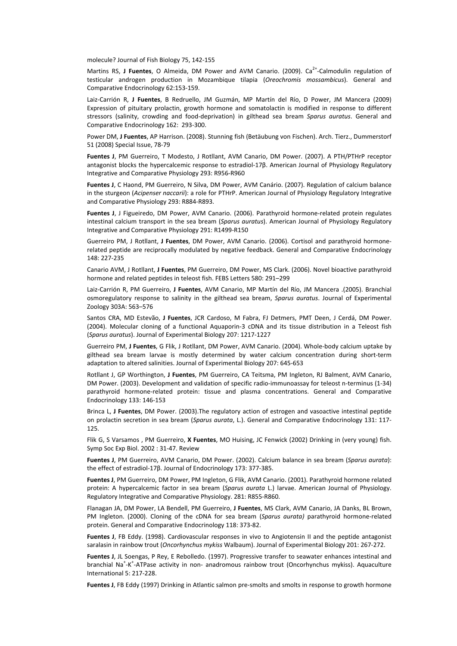molecule? Journal of Fish Biology 75, 142‐155

Martins RS, J Fuentes, O Almeida, DM Power and AVM Canario. (2009). Ca<sup>2+</sup>-Calmodulin regulation of testicular androgen production in Mozambique tilapia (*Oreochromis mossambicus*). General and Comparative Endocrinology 62:153‐159.

Laiz‐Carrión R, **J Fuentes**, B Redruello, JM Guzmán, MP Martín del Río, D Power, JM Mancera (2009) Expression of pituitary prolactin, growth hormone and somatolactin is modified in response to different stressors (salinity, crowding and food‐deprivation) in gilthead sea bream *Sparus auratus*. General and Comparative Endocrinology 162: 293‐300.

Power DM, **J Fuentes**, AP Harrison. (2008). Stunning fish (Betäubung von Fischen). Arch. Tierz., Dummerstorf 51 (2008) Special Issue, 78‐79

**Fuentes J**, PM Guerreiro, T Modesto, J Rotllant, AVM Canario, DM Power. (2007). A PTH/PTHrP receptor antagonist blocks the hypercalcemic response to estradiol‐17β. American Journal of Physiology Regulatory Integrative and Comparative Physiology 293: R956‐R960

**Fuentes J**, C Haond, PM Guerreiro, N Silva, DM Power, AVM Canário. (2007). Regulation of calcium balance in the sturgeon (*Acipenser naccarii*): a role for PTHrP. American Journal of Physiology Regulatory Integrative and Comparative Physiology 293: R884‐R893.

Fuentes J, J Figueiredo, DM Power, AVM Canario. (2006). Parathyroid hormone-related protein regulates intestinal calcium transport in the sea bream (*Sparus auratus*). American Journal of Physiology Regulatory Integrative and Comparative Physiology 291: R1499‐R150

Guerreiro PM, J Rotllant, **J Fuentes**, DM Power, AVM Canario. (2006). Cortisol and parathyroid hormone‐ related peptide are reciprocally modulated by negative feedback. General and Comparative Endocrinology 148: 227‐235

Canario AVM, J Rotllant, **J Fuentes**, PM Guerreiro, DM Power, MS Clark. (2006). Novel bioactive parathyroid hormone and related peptides in teleost fish. FEBS Letters 580: 291–299

Laiz‐Carrión R, PM Guerreiro, **J Fuentes**, AVM Canario, MP Martín del Río, JM Mancera .(2005). Branchial osmoregulatory response to salinity in the gilthead sea bream, *Sparus auratus*. Journal of Experimental Zoology 303A: 563–576

Santos CRA, MD Estevão, **J Fuentes**, JCR Cardoso, M Fabra, FJ Detmers, PMT Deen, J Cerdá, DM Power. (2004). Molecular cloning of a functional Aquaporin‐3 cDNA and its tissue distribution in a Teleost fish (*Sparus auratus*). Journal of Experimental Biology 207: 1217‐1227

Guerreiro PM, **J Fuentes**, G Flik, J Rotllant, DM Power, AVM Canario. (2004). Whole‐body calcium uptake by gilthead sea bream larvae is mostly determined by water calcium concentration during short-term adaptation to altered salinities. Journal of Experimental Biology 207: 645‐653

Rotllant J, GP Worthington, **J Fuentes**, PM Guerreiro, CA Teitsma, PM Ingleton, RJ Balment, AVM Canario, DM Power. (2003). Development and validation of specific radio‐immunoassay for teleost n‐terminus (1‐34) parathyroid hormone‐related protein: tissue and plasma concentrations. General and Comparative Endocrinology 133: 146‐153

Brinca L, **J Fuentes**, DM Power. (2003).The regulatory action of estrogen and vasoactive intestinal peptide on prolactin secretion in sea bream (*Sparus aurata*, L.). General and Comparative Endocrinology 131: 117‐ 125.

Flik G, S Varsamos , PM Guerreiro, **X Fuentes**, MO Huising, JC Fenwick (2002) Drinking in (very young) fish. Symp Soc Exp Biol. 2002 : 31‐47. Review

**Fuentes J**, PM Guerreiro, AVM Canario, DM Power. (2002). Calcium balance in sea bream (*Sparus aurata*): the effect of estradiol‐17β. Journal of Endocrinology 173: 377‐385.

**Fuentes J**, PM Guerreiro, DM Power, PM Ingleton, G Flik, AVM Canario. (2001). Parathyroid hormone related protein: A hypercalcemic factor in sea bream (*Sparus aurata* L.) larvae. American Journal of Physiology. Regulatory Integrative and Comparative Physiology. 281: R855‐R860.

Flanagan JA, DM Power, LA Bendell, PM Guerreiro, **J Fuentes**, MS Clark, AVM Canario, JA Danks, BL Brown, PM Ingleton. (2000). Cloning of the cDNA for sea bream (*Sparus aurata)* parathyroid hormone‐related protein. General and Comparative Endocrinology 118: 373‐82.

**Fuentes J**, FB Eddy. (1998). Cardiovascular responses in vivo to Angiotensin II and the peptide antagonist saralasin in rainbow trout (*Oncorhynchus mykiss* Walbaum). Journal of Experimental Biology 201: 267‐272.

**Fuentes J**, JL Soengas, P Rey, E Rebolledo. (1997). Progressive transfer to seawater enhances intestinal and branchial Na<sup>+</sup>-K<sup>+</sup>-ATPase activity in non- anadromous rainbow trout (Oncorhynchus mykiss). Aquaculture International 5: 217‐228.

**Fuentes J**, FB Eddy (1997) Drinking in Atlantic salmon pre‐smolts and smolts in response to growth hormone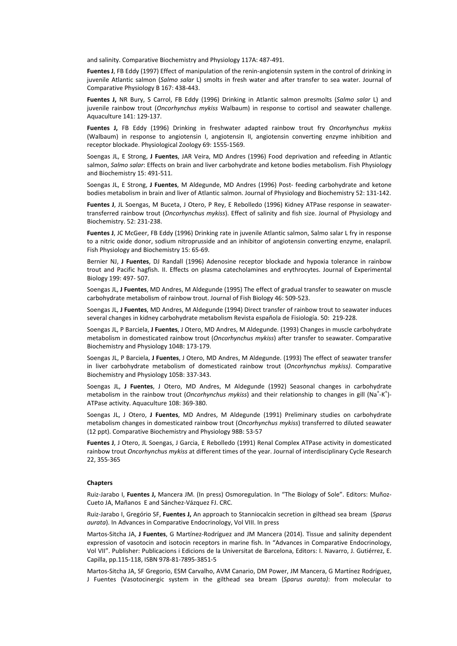and salinity. Comparative Biochemistry and Physiology 117A: 487‐491.

**Fuentes J**, FB Eddy (1997) Effect of manipulation of the renin‐angiotensin system in the control of drinking in juvenile Atlantic salmon (*Salmo salar* L) smolts in fresh water and after transfer to sea water. Journal of Comparative Physiology B 167: 438‐443.

**Fuentes J,** NR Bury, S Carrol, FB Eddy (1996) Drinking in Atlantic salmon presmolts (*Salmo salar* L) and juvenile rainbow trout (*Oncorhynchus mykiss* Walbaum) in response to cortisol and seawater challenge. Aquaculture 141: 129‐137.

**Fuentes J,** FB Eddy (1996) Drinking in freshwater adapted rainbow trout fry *Oncorhynchus mykiss* (Walbaum) in response to angiotensin I, angiotensin II, angiotensin converting enzyme inhibition and receptor blockade. Physiological Zoology 69: 1555‐1569.

Soengas JL, E Strong, **J Fuentes**, JAR Veira, MD Andres (1996) Food deprivation and refeeding in Atlantic salmon, *Salmo salar*: Effects on brain and liver carbohydrate and ketone bodies metabolism. Fish Physiology and Biochemistry 15: 491‐511.

Soengas JL, E Strong, **J Fuentes**, M Aldegunde, MD Andres (1996) Post‐ feeding carbohydrate and ketone bodies metabolism in brain and liver of Atlantic salmon. Journal of Physiology and Biochemistry 52: 131‐142.

**Fuentes J**, JL Soengas, M Buceta, J Otero, P Rey, E Rebolledo (1996) Kidney ATPase response in seawater‐ transferred rainbow trout (*Oncorhynchus mykiss*). Effect of salinity and fish size. Journal of Physiology and Biochemistry. 52: 231‐238.

**Fuentes J**, JC McGeer, FB Eddy (1996) Drinking rate in juvenile Atlantic salmon, Salmo salar L fry in response to a nitric oxide donor, sodium nitroprusside and an inhibitor of angiotensin converting enzyme, enalapril. Fish Physiology and Biochemistry 15: 65‐69.

Bernier NJ, **J Fuentes**, DJ Randall (1996) Adenosine receptor blockade and hypoxia tolerance in rainbow trout and Pacific hagfish. II. Effects on plasma catecholamines and erythrocytes. Journal of Experimental Biology 199: 497‐ 507.

Soengas JL, **J Fuentes**, MD Andres, M Aldegunde (1995) The effect of gradual transfer to seawater on muscle carbohydrate metabolism of rainbow trout. Journal of Fish Biology 46: 509‐523.

Soengas JL, **J Fuentes**, MD Andres, M Aldegunde (1994) Direct transfer of rainbow trout to seawater induces several changes in kidney carbohydrate metabolism Revista española de Fisiología. 50: 219‐228.

Soengas JL, P Barciela, **J Fuentes**, J Otero, MD Andres, M Aldegunde. (1993) Changes in muscle carbohydrate metabolism in domesticated rainbow trout (*Oncorhynchus mykiss*) after transfer to seawater. Comparative Biochemistry and Physiology 104B: 173‐179.

Soengas JL, P Barciela, **J Fuentes**, J Otero, MD Andres, M Aldegunde. (1993) The effect of seawater transfer in liver carbohydrate metabolism of domesticated rainbow trout (*Oncorhynchus mykiss)*. Comparative Biochemistry and Physiology 105B: 337‐343.

Soengas JL, **J Fuentes**, J Otero, MD Andres, M Aldegunde (1992) Seasonal changes in carbohydrate metabolism in the rainbow trout (Oncorhynchus mykiss) and their relationship to changes in gill (Na<sup>+</sup>-K<sup>+</sup>)-ATPase activity. Aquaculture 108: 369‐380.

Soengas JL, J Otero, **J Fuentes**, MD Andres, M Aldegunde (1991) Preliminary studies on carbohydrate metabolism changes in domesticated rainbow trout (*Oncorhynchus mykiss*) transferred to diluted seawater (12 ppt). Comparative Biochemistry and Physiology 98B: 53‐57

**Fuentes J**, J Otero, JL Soengas, J Garcia, E Rebolledo (1991) Renal Complex ATPase activity in domesticated rainbow trout *Oncorhynchus mykiss* at different times of the year. Journal of interdisciplinary Cycle Research 22, 355‐365

### **Chapters**

Ruiz‐Jarabo I, **Fuentes J,** Mancera JM. (In press) Osmoregulation. In "The Biology of Sole". Editors: Muñoz‐ Cueto JA, Mañanos E and Sánchez‐Vázquez FJ. CRC.

Ruiz‐Jarabo I, Gregório SF, **Fuentes J,** An approach to Stanniocalcin secretion in gilthead sea bream (*Sparus aurata*). In Advances in Comparative Endocrinology, Vol VIII. In press

Martos‐Sitcha JA, **J Fuentes**, G Martínez‐Rodríguez and JM Mancera (2014). Tissue and salinity dependent expression of vasotocin and isotocin receptors in marine fish. In "Advances in Comparative Endocrinology, Vol VII". Publisher: Publicacions i Edicions de la Universitat de Barcelona, Editors: I. Navarro, J. Gutiérrez, E. Capilla, pp.115‐118, ISBN 978‐81‐7895‐3851‐5

Martos‐Sitcha JA, SF Gregorio, ESM Carvalho, AVM Canario, DM Power, JM Mancera, G Martínez Rodríguez, J Fuentes (Vasotocinergic system in the gilthead sea bream (*Sparus aurata)*: from molecular to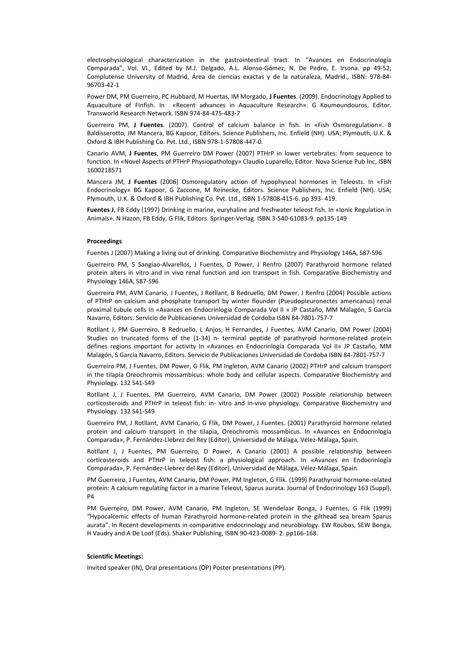electrophysiological characterization in the gastrointestinal tract. In "Avances en Endocrinología Comparada", Vol. VI., Edited by M.J. Delgado, A.L. Alonso‐Gómez, N. De Pedro, E. Irsona. pp 49‐52; Complutense University of Madrid, Área de ciencias exactas y de la naturaleza, Madrid., ISBN: 978‐84‐ 96703‐42‐1

Power DM, PM Guerreiro, PC Hubbard, M Huertas, IM Morgado, **J Fuentes**. (2009). Endocrinology Applied to Aquaculture of Finfish. In «Recent advances in Aquaculture Research». G Koumoundouros, Editor. Transworld Research Network. ISBN 974‐84‐475‐483‐7

Guerreiro PM, **J Fuentes**. (2007). Control of calcium balance in fish. In «Fish Osmoregulation». B Baldisserotto, JM Mancera, BG Kapoor, Editors. Science Publishers, Inc. Enfield (NH). USA; Plymouth, U.K. & Oxford & IBH Publishing Co. Pvt. Ltd., ISBN 978‐1‐57808‐447‐0.

Canario AVM, **J Fuentes**, PM Guerreiro DM Power (2007) PTHrP in lower vertebrates: from sequence to function. In «Novel Aspects of PTHrP Physiopathology» Claudio Luparello, Editor. Nova Science Pub Inc, ISBN 1600218571

Mancera JM, **J Fuentes** (2006) Osmoregulatory action of hypophyseal hormones in Teleosts. In «Fish Endocrinology» BG Kapoor, G Zaccone, M Reinecke, Editors. Science Publishers, Inc. Enfield (NH). USA; Plymouth, U.K. & Oxford & IBH Publishing Co. Pvt. Ltd., ISBN 1‐57808‐415‐6. pp 393‐ 419.

**Fuentes J**, FB Eddy (1997) Drinking in marine, euryhaline and freshwater teleost fish. In «Ionic Regulation in Animals». N Hazon, FB Eddy, G Flik, Editors. Springer‐Verlag. ISBN 3‐540‐61083‐9. pp135‐149

#### **Proceedings**

Fuentes J (2007) Making a living out of drinking. Comparative Biochemistry and Physiology 146A, S87‐S96

Guerreiro PM, S Sangiao‐Alvarellos, J Fuentes, D Power, J Renfro (2007) Parathyroid hormone related protein alters in vitro and in vivo renal function and ion transport in fish. Comparative Biochemistry and Physiology 146A, S87‐S96

Guerreiro PM, AVM Canario, J Fuentes, J Rotllant, B Redruello, DM Power, J Renfro (2004) Possible actions of PTHrP on calcium and phosphate transport by winter flounder (Pseudopleuronectes americanus) renal proximal tubule cells In «Avances en Endocrinlogía Comparada Vol II » JP Castaño, MM Malagón, S Garcia Navarro, Editors. Servicio de Publicaciones Universidad de Cordoba ISBN 84‐7801‐757‐7

Rotllant J, PM Guerreiro, B Redruello, L Anjos, H Fernandes, J Fuentes, AVM Canario, DM Power (2004) Studies on truncated forms of the (1-34) n- terminal peptide of parathyroid hormone-related protein defines regions important for activity In «Avances en Endocrinlogía Comparada Vol II» JP Castaño, MM Malagón, S Garcia Navarro, Editors. Servicio de Publicaciones Universidad de Cordoba ISBN 84‐7801‐757‐7

Guerreiro PM, J Fuentes, DM Power, G Flik, PM Ingleton, AVM Canario (2002) PTHrP and calcium transport in the tilapia Oreochromis mossambicus: whole body and cellular aspects. Comparative Biochemistry and Physiology. 132 S41‐S49

Rotllant J, J Fuentes, PM Guerreiro, AVM Canario, DM Power (2002) Possible relationship between corticosteroids and PTHrP in teleost fish: in- vitro and in-vivo physiology. Comparative Biochemistry and Physiology. 132 S41‐S49

Guerreiro PM, J Rotllant, AVM Canario, G Flik, DM Power, J Fuentes. (2001) Parathyroid hormone related protein and calcium transport in the tilapia, Oreochromis mossambicus. In «Avances en Endocrinlogía Comparada», P. Fernández‐Llebrez del Rey (Editor), Universidad de Málaga, Vélez‐Málaga, Spain.

Rotllant J, J Fuentes, PM Guerreiro, D Power, A Canario (2001) A possible relationship between corticosteroids and PTHrP in teleost fish: a physiological approach. In «Avances en Endocrinlogía Comparada», P. Fernández‐Llebrez del Rey (Editor), Universidad de Málaga, Vélez‐Málaga, Spain.

PM Guerreiro, J Fuentes, AVM Canario, DM Power, PM Ingleton, G Flik. (1999) Parathyroid hormone‐related protein: A calcium regulating factor in a marine Teleost, Sparus aurata. Journal of Endocrinology 163 (Suppl), P4

PM Guerreiro, DM Power, AVM Canario, PM Ingleton, SE Wendelaar Bonga, J Fuentes, G Flik (1999) "Hypocalcemic effects of human Parathyroid hormone‐related protein in the gilthead sea bream Sparus aurata". In Recent developments in comparative endocrinology and neurobiology. EW Roubos, SEW Bonga, H Vaudry and A De Loof (Eds). Shaker Publishing, ISBN 90‐423‐0089‐ 2. pp166‐168.

#### **Scientific Meetings:**

Invited speaker (IN), Oral presentations (OP) Poster presentations (PP).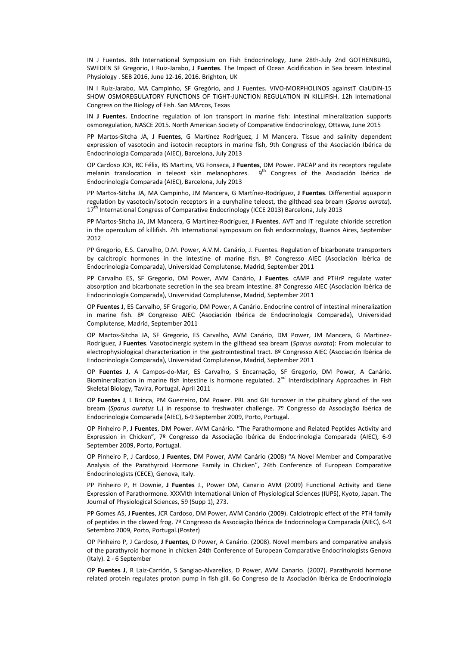IN J Fuentes. 8th International Symposium on Fish Endocrinology, June 28th‐July 2nd GOTHENBURG, SWEDEN SF Gregorio, I Ruiz‐Jarabo, **J Fuentes**. The Impact of Ocean Acidification in Sea bream Intestinal Physiology . SEB 2016, June 12‐16, 2016. Brighton, UK

IN I Ruiz-Jarabo, MA Campinho, SF Gregório, and J Fuentes. VIVO-MORPHOLINOS againstT ClaUDIN-15 SHOW OSMOREGULATORY FUNCTIONS OF TIGHT‐JUNCTION REGULATION IN KILLIFISH. 12h International Congress on the Biology of Fish. San MArcos, Texas

IN **J Fuentes.** Endocrine regulation of ion transport in marine fish: intestinal mineralization supports osmoregulation, NASCE 2015. North American Society of Comparative Endocrinology, Ottawa, June 2015

PP Martos‐Sitcha JA, **J Fuentes**, G Martínez Rodríguez, J M Mancera. Tissue and salinity dependent expression of vasotocin and isotocin receptors in marine fish, 9th Congress of the Asociación Ibérica de Endocrinología Comparada (AIEC), Barcelona, July 2013

OP Cardoso JCR, RC Félix, RS Martins, VG Fonseca, **J Fuentes**, DM Power. PACAP and its receptors regulate melanin translocation in teleost skin melanophores.  $9<sup>th</sup>$  Congress of the Asociación Ibérica de Endocrinología Comparada (AIEC), Barcelona, July 2013

PP Martos‐Sitcha JA, MA Campinho, JM Mancera, G Martínez‐Rodríguez, **J Fuentes**. Differential aquaporin regulation by vasotocin/isotocin receptors in a euryhaline teleost, the gilthead sea bream (*Sparus aurata*). 17<sup>th</sup> International Congress of Comparative Endocrinology (ICCE 2013) Barcelona, July 2013

PP Martos‐Sitcha JA, JM Mancera, G Martínez‐Rodríguez, **J Fuentes**. AVT and IT regulate chloride secretion in the operculum of killifish. 7th International symposium on fish endocrinology, Buenos Aires, September 2012

PP Gregorio, E.S. Carvalho, D.M. Power, A.V.M. Canário, J. Fuentes. Regulation of bicarbonate transporters by calcitropic hormones in the intestine of marine fish. 8º Congresso AIEC (Asociación Ibérica de Endocrinología Comparada), Universidad Complutense, Madrid, September 2011

PP Carvalho ES, SF Gregorio, DM Power, AVM Canário, **J Fuentes**. cAMP and PTHrP regulate water absorption and bicarbonate secretion in the sea bream intestine. 8º Congresso AIEC (Asociación Ibérica de Endocrinología Comparada), Universidad Complutense, Madrid, September 2011

OP **Fuentes J**, ES Carvalho, SF Gregorio, DM Power, A Canário. Endocrine control of intestinal mineralization in marine fish. 8º Congresso AIEC (Asociación Ibérica de Endocrinología Comparada), Universidad Complutense, Madrid, September 2011

OP Martos‐Sitcha JA, SF Gregorio, ES Carvalho, AVM Canário, DM Power, JM Mancera, G Martinez‐ Rodriguez, **J Fuentes**. Vasotocinergic system in the gilthead sea bream (*Sparus aurata*): From molecular to electrophysiological characterization in the gastrointestinal tract. 8º Congresso AIEC (Asociación Ibérica de Endocrinología Comparada), Universidad Complutense, Madrid, September 2011

OP **Fuentes J**, A Campos‐do‐Mar, ES Carvalho, S Encarnação, SF Gregorio, DM Power, A Canário. Biomineralization in marine fish intestine is hormone regulated.  $2<sup>nd</sup>$  Interdisciplinary Approaches in Fish Skeletal Biology, Tavira, Portugal, April 2011

OP **Fuentes J**, L Brinca, PM Guerreiro, DM Power. PRL and GH turnover in the pituitary gland of the sea bream (*Sparus auratus* L.) in response to freshwater challenge. 7º Congresso da Associação Ibérica de Endocrinologia Comparada (AIEC), 6‐9 September 2009, Porto, Portugal.

OP Pinheiro P, **J Fuentes**, DM Power. AVM Canário. "The Parathormone and Related Peptides Activity and Expression in Chicken", 7º Congresso da Associação Ibérica de Endocrinologia Comparada (AIEC), 6‐9 September 2009, Porto, Portugal.

OP Pinheiro P, J Cardoso, **J Fuentes**, DM Power, AVM Canário (2008) "A Novel Member and Comparative Analysis of the Parathyroid Hormone Family in Chicken", 24th Conference of European Comparative Endocrinologists (CECE), Genova, Italy.

PP Pinheiro P, H Downie, **J Fuentes** J., Power DM, Canario AVM (2009) Functional Activity and Gene Expression of Parathormone. XXXVIth International Union of Physiological Sciences (IUPS), Kyoto, Japan. The Journal of Physiological Sciences, 59 (Supp 1), 273.

PP Gomes AS, **J Fuentes**, JCR Cardoso, DM Power, AVM Canário (2009). Calciotropic effect of the PTH family of peptides in the clawed frog. 7º Congresso da Associação Ibérica de Endocrinologia Comparada (AIEC), 6‐9 Setembro 2009, Porto, Portugal.(Poster)

OP Pinheiro P, J Cardoso, **J Fuentes**, D Power, A Canário. (2008). Novel members and comparative analysis of the parathyroid hormone in chicken 24th Conference of European Comparative Endocrinologists Genova (Italy). 2 ‐ 6 September

OP **Fuentes J**, R Laiz‐Carrión, S Sangiao‐Alvarellos, D Power, AVM Canario. (2007). Parathyroid hormone related protein regulates proton pump in fish gill. 6o Congreso de la Asociación Ibérica de Endocrinología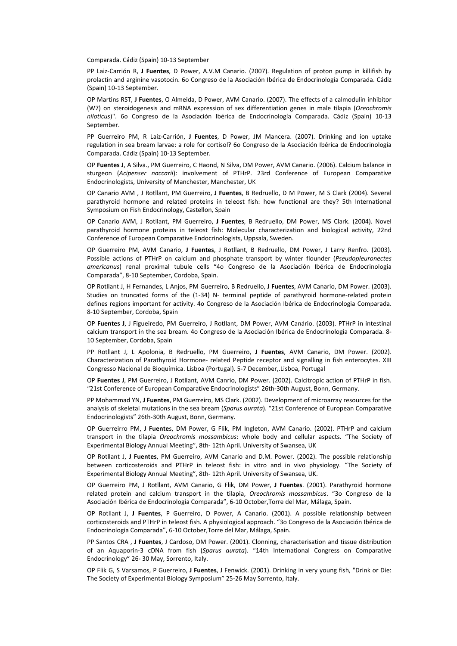Comparada. Cádiz (Spain) 10‐13 September

PP Laiz‐Carrión R, **J Fuentes**, D Power, A.V.M Canario. (2007). Regulation of proton pump in killifish by prolactin and arginine vasotocin. 6o Congreso de la Asociación Ibérica de Endocrinología Comparada. Cádiz (Spain) 10‐13 September.

OP Martins RST, **J Fuentes**, O Almeida, D Power, AVM Canario. (2007). The effects of a calmodulin inhibitor (W7) on steroidogenesis and mRNA expression of sex differentiation genes in male tilapia (*Oreochromis niloticus*)". 6o Congreso de la Asociación Ibérica de Endocrinología Comparada. Cádiz (Spain) 10‐13 September.

PP Guerreiro PM, R Laiz‐Carrión, **J Fuentes**, D Power, JM Mancera. (2007). Drinking and ion uptake regulation in sea bream larvae: a role for cortisol? 6o Congreso de la Asociación Ibérica de Endocrinología Comparada. Cádiz (Spain) 10‐13 September.

OP **Fuentes J**, A Silva., PM Guerreiro, C Haond, N Silva, DM Power, AVM Canario. (2006). Calcium balance in sturgeon (*Acipenser naccarii*): involvement of PTHrP. 23rd Conference of European Comparative Endocrinologists, University of Manchester, Manchester, UK

OP Canario AVM , J Rotllant, PM Guerreiro, **J Fuentes**, B Redruello, D M Power, M S Clark (2004). Several parathyroid hormone and related proteins in teleost fish: how functional are they? 5th International Symposium on Fish Endocrinology, Castellon, Spain

OP Canario AVM, J Rotllant, PM Guerreiro, **J Fuentes**, B Redruello, DM Power, MS Clark. (2004). Novel parathyroid hormone proteins in teleost fish: Molecular characterization and biological activity, 22nd Conference of European Comparative Endocrinologists, Uppsala, Sweden.

OP Guerreiro PM, AVM Canario, **J Fuentes**, J Rotllant, B Redruello, DM Power, J Larry Renfro. (2003). Possible actions of PTHrP on calcium and phosphate transport by winter flounder (*Pseudopleuronectes americanus*) renal proximal tubule cells "4o Congreso de la Asociación Ibérica de Endocrinologia Comparada", 8‐10 September, Cordoba, Spain.

OP Rotllant J, H Fernandes, L Anjos, PM Guerreiro, B Redruello, **J Fuentes**, AVM Canario, DM Power. (2003). Studies on truncated forms of the (1-34) N- terminal peptide of parathyroid hormone-related protein defines regions important for activity. 4o Congreso de la Asociación Ibérica de Endocrinologia Comparada. 8‐10 September, Cordoba, Spain

OP **Fuentes J**, J Figueiredo, PM Guerreiro, J Rotllant, DM Power, AVM Canário. (2003). PTHrP in intestinal calcium transport in the sea bream. 4o Congreso de la Asociación Ibérica de Endocrinologia Comparada. 8‐ 10 September, Cordoba, Spain

PP Rotllant J, L Apolonia, B Redruello, PM Guerreiro, **J Fuentes**, AVM Canario, DM Power. (2002). Characterization of Parathyroid Hormone- related Peptide receptor and signalling in fish enterocytes. XIII Congresso Nacional de Bioquímica. Lisboa (Portugal). 5‐7 December,.Lisboa, Portugal

OP **Fuentes J**, PM Guerreiro, J Rotllant, AVM Canrio, DM Power. (2002). Calcitropic action of PTHrP in fish. "21st Conference of European Comparative Endocrinologists" 26th‐30th August, Bonn, Germany.

PP Mohammad YN, **J Fuentes**, PM Guerreiro, MS Clark. (2002). Development of microarray resources for the analysis of skeletal mutations in the sea bream (*Sparus aurata*). "21st Conference of European Comparative Endocrinologists" 26th‐30th August, Bonn, Germany.

OP Guerreirro PM, **J Fuente**s, DM Power, G Flik, PM Ingleton, AVM Canario. (2002). PTHrP and calcium transport in the tilapia *Oreochromis mossambicus*: whole body and cellular aspects. "The Society of Experimental Biology Annual Meeting", 8th‐ 12th April. University of Swansea, UK

OP Rotllant J, **J Fuentes**, PM Guerreiro, AVM Canario and D.M. Power. (2002). The possible relationship between corticosteroids and PTHrP in teleost fish: in vitro and in vivo physiology. "The Society of Experimental Biology Annual Meeting", 8th‐ 12th April. University of Swansea, UK.

OP Guerreiro PM, J Rotllant, AVM Canario, G Flik, DM Power, **J Fuentes**. (2001). Parathyroid hormone related protein and calcium transport in the tilapia, *Oreochromis mossambicus*. "3o Congreso de la Asociación Ibérica de Endocrinologia Comparada", 6‐10 October,Torre del Mar, Málaga, Spain.

OP Rotllant J, **J Fuentes**, P Guerreiro, D Power, A Canario. (2001). A possible relationship between corticosteroids and PTHrP in teleost fish. A physiological approach. "3o Congreso de la Asociación Ibérica de Endocrinologia Comparada", 6‐10 October,Torre del Mar, Málaga, Spain.

PP Santos CRA , **J Fuentes**, J Cardoso, DM Power. (2001). Clonning, characterisation and tissue distribution of an Aquaporin‐3 cDNA from fish (*Sparus aurata*). "14th International Congress on Comparative Endocrinology" 26‐ 30 May, Sorrento, Italy.

OP Flik G, S Varsamos, P Guerreiro, **J Fuentes**, J Fenwick. (2001). Drinking in very young fish, "Drink or Die: The Society of Experimental Biology Symposium" 25‐26 May Sorrento, Italy.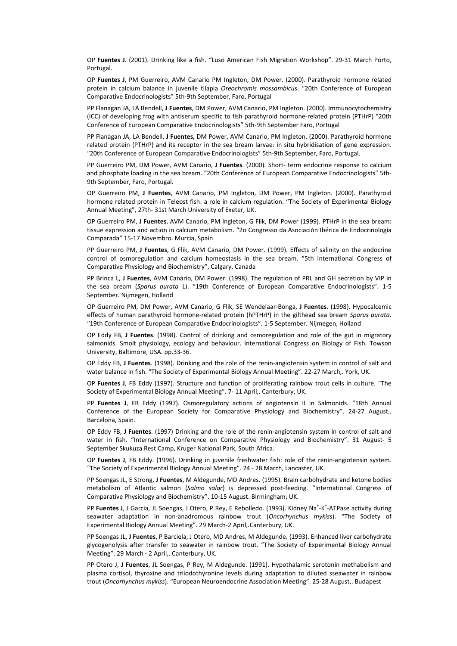OP **Fuentes J**. (2001). Drinking like a fish. "Luso American Fish Migration Workshop". 29‐31 March Porto, Portugal.

OP **Fuentes J**, PM Guerreiro, AVM Canario PM Ingleton, DM Power. (2000). Parathyroid hormone related protein in calcium balance in juvenile tilapia *Oreochromis mossambicus*. "20th Conference of European Comparative Endocrinologists" 5th‐9th September, Faro, Portugal

PP Flanagan JA, LA Bendell, **J Fuentes**, DM Power, AVM Canario, PM Ingleton. (2000). Immunocytochemistry (ICC) of developing frog with antiserum specific to fish parathyroid hormone‐related protein (PTHrP) "20th Conference of European Comparative Endocrinologists" 5th‐9th September Faro, Portugal

PP Flanagan JA, LA Bendell, **J Fuentes,** DM Power, AVM Canario, PM Ingleton. (2000). Parathyroid hormone related protein (PTHrP) and its receptor in the sea bream larvae: in situ hybridisation of gene expression. "20th Conference of European Comparative Endocrinologists" 5th‐9th September, Faro, Portugal.

PP Guerreiro PM, DM Power, AVM Canario, **J Fuentes**. (2000). Short‐ term endocrine response to calcium and phosphate loading in the sea bream. "20th Conference of European Comparative Endocrinologists" 5th-9th September, Faro, Portugal.

OP Guerreiro PM, **J Fuentes**, AVM Canario, PM Ingleton, DM Power, PM Ingleton. (2000). Parathyroid hormone related protein in Teleost fish: a role in calcium regulation. "The Society of Experimental Biology Annual Meeting", 27th‐ 31st March University of Exeter, UK.

OP Guerreiro PM, **J Fuentes**, AVM Canario, PM Ingleton, G Flik, DM Power (1999). PTHrP in the sea bream: tissue expression and action in calcium metabolism. "2o Congresso da Asociación Ibérica de Endocrinología Comparada" 15‐17 Novembro. Murcia, Spain

PP Guerreiro PM, **J Fuentes**, G Flik, AVM Canario, DM Power. (1999). Effects of salinity on the endocrine control of osmoregulation and calcium homeostasis in the sea bream. "5th International Congress of Comparative Physiology and Biochemistry", Calgary, Canada

PP Brinca L, **J Fuentes**, AVM Canário, DM Power. (1998). The regulation of PRL and GH secretion by VIP in the sea bream (*Sparus aurata* L). "19th Conference of European Comparative Endocrinologists". 1‐5 September. Nijmegen, Holland

OP Guerreiro PM, DM Power, AVM Canario, G Flik, SE Wendelaar‐Bonga, **J Fuentes**. (1998). Hypocalcemic effects of human parathyroid hormone‐related protein (hPTHrP) in the gilthead sea bream *Sparus aurata*. "19th Conference of European Comparative Endocrinologists". 1‐5 September. Nijmegen, Holland

OP Eddy FB, **J Fuentes**. (1998). Control of drinking and osmoregulation and role of the gut in migratory salmonids. Smolt physiology, ecology and behaviour. International Congress on Biology of Fish. Towson University, Baltimore, USA. pp.33‐36.

OP Eddy FB, **J Fuentes**. (1998). Drinking and the role of the renin‐angiotensin system in control of salt and water balance in fish. "The Society of Experimental Biology Annual Meeting". 22-27 March,. York, UK.

OP **Fuentes J**, FB Eddy (1997). Structure and function of proliferating rainbow trout cells in culture. "The Society of Experimental Biology Annual Meeting". 7‐ 11 April,. Canterbury, UK.

PP **Fuentes J**, FB Eddy (1997). Osmoregulatory actions of angiotensin II in Salmonids. "18th Annual Conference of the European Society for Comparative Physiology and Biochemistry". 24‐27 August,. Barcelona, Spain.

OP Eddy FB, **J Fuentes**. (1997) Drinking and the role of the renin‐angiotensin system in control of salt and water in fish. "International Conference on Comparative Physiology and Biochemistry". 31 August- 5 September Skukuza Rest Camp, Kruger National Park, South Africa.

OP **Fuentes J**, FB Eddy. (1996). Drinking in juvenile freshwater fish: role of the renin‐angiotensin system. "The Society of Experimental Biology Annual Meeting". 24 ‐ 28 March, Lancaster, UK.

PP Soengas JL, E Strong, **J Fuentes**, M Aldegunde, MD Andres. (1995). Brain carbohydrate and ketone bodies metabolism of Atlantic salmon (*Salmo salar*) is depressed post‐feeding. "International Congress of Comparative Physiology and Biochemistry". 10‐15 August. Birmingham; UK.

PP Fuentes J, J Garcia, JL Soengas, J Otero, P Rey, E Rebolledo. (1993). Kidney Na<sup>+</sup>-K<sup>+</sup>-ATPase activity during seawater adaptation in non‐anadromous rainbow trout (*Oncorhynchus mykis*s). "The Society of Experimental Biology Annual Meeting". 29 March‐2 April,.Canterbury, UK.

PP Soengas JL, **J Fuentes**, P Barciela, J Otero, MD Andres, M Aldegunde. (1993). Enhanced liver carbohydrate glycogenolysis after transfer to seawater in rainbow trout. "The Society of Experimental Biology Annual Meeting". 29 March ‐ 2 April,. Canterbury, UK.

PP Otero J, **J Fuentes**, JL Soengas, P Rey, M Aldegunde. (1991). Hypothalamic serotonin methabolism and plasma cortisol, thyroxine and triiodothyronine levels during adaptation to diluted sseawater in rainbow trout (*Oncorhynchus mykiss*). "European Neuroendocrine Association Meeting". 25‐28 August,. Budapest